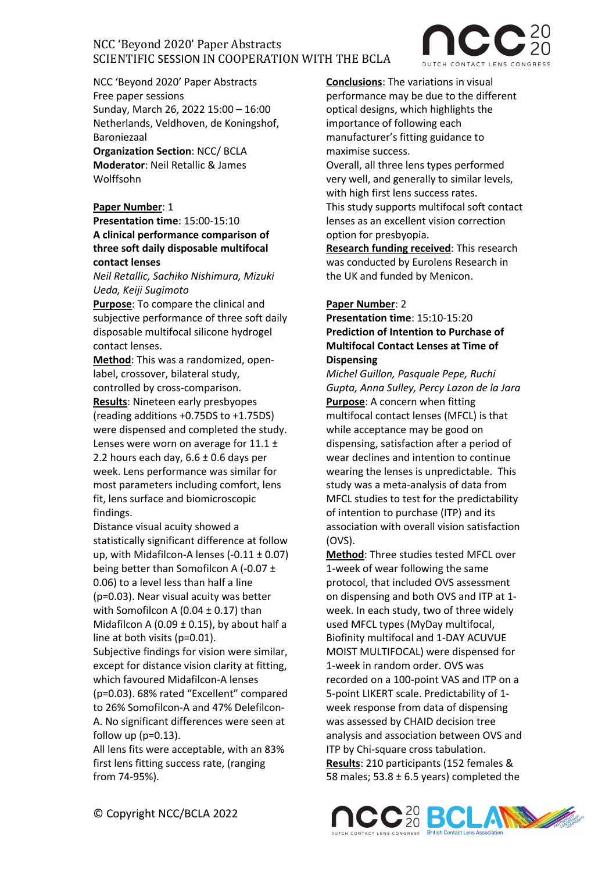

NCC 'Beyond 2020' Paper Abstracts Free paper sessions Sunday, March 26, 2022 15:00 – 16:00 Netherlands, Veldhoven, de Koningshof, Baroniezaal

**Organization Section**: NCC/ BCLA **Moderator**: Neil Retallic & James Wolffsohn

### **Paper Number**: 1

**Presentation time**: 15:00-15:10 **A clinical performance comparison of three soft daily disposable multifocal contact lenses**

*Neil Retallic, Sachiko Nishimura, Mizuki Ueda, Keiji Sugimoto*

**Purpose**: To compare the clinical and subjective performance of three soft daily disposable multifocal silicone hydrogel contact lenses.

**Method**: This was a randomized, openlabel, crossover, bilateral study, controlled by cross-comparison.

**Results**: Nineteen early presbyopes (reading additions +0.75DS to +1.75DS) were dispensed and completed the study. Lenses were worn on average for 11.1 ± 2.2 hours each day,  $6.6 \pm 0.6$  days per week. Lens performance was similar for most parameters including comfort, lens fit, lens surface and biomicroscopic findings.

Distance visual acuity showed a statistically significant difference at follow up, with Midafilcon-A lenses  $(-0.11 \pm 0.07)$ being better than Somofilcon A (-0.07 ± 0.06) to a level less than half a line (p=0.03). Near visual acuity was better with Somofilcon A (0.04  $\pm$  0.17) than Midafilcon A (0.09  $\pm$  0.15), by about half a line at both visits (p=0.01).

Subjective findings for vision were similar, except for distance vision clarity at fitting, which favoured Midafilcon-A lenses (p=0.03). 68% rated "Excellent" compared to 26% Somofilcon-A and 47% Delefilcon-A. No significant differences were seen at follow up  $(p=0.13)$ .

All lens fits were acceptable, with an 83% first lens fitting success rate, (ranging from 74-95%).

**Conclusions**: The variations in visual performance may be due to the different optical designs, which highlights the importance of following each manufacturer's fitting guidance to maximise success. Overall, all three lens types performed very well, and generally to similar levels, with high first lens success rates. This study supports multifocal soft contact lenses as an excellent vision correction option for presbyopia.

**Research funding received**: This research was conducted by Eurolens Research in the UK and funded by Menicon.

### **Paper Number**: 2

## **Presentation time**: 15:10-15:20 **Prediction of Intention to Purchase of Multifocal Contact Lenses at Time of Dispensing**

*Michel Guillon, Pasquale Pepe, Ruchi Gupta, Anna Sulley, Percy Lazon de la Jara* **Purpose**: A concern when fitting multifocal contact lenses (MFCL) is that while acceptance may be good on dispensing, satisfaction after a period of wear declines and intention to continue wearing the lenses is unpredictable. This study was a meta-analysis of data from MFCL studies to test for the predictability of intention to purchase (ITP) and its association with overall vision satisfaction (OVS).

**Method**: Three studies tested MFCL over 1-week of wear following the same protocol, that included OVS assessment on dispensing and both OVS and ITP at 1 week. In each study, two of three widely used MFCL types (MyDay multifocal, Biofinity multifocal and 1-DAY ACUVUE MOIST MULTIFOCAL) were dispensed for 1-week in random order. OVS was recorded on a 100-point VAS and ITP on a 5-point LIKERT scale. Predictability of 1 week response from data of dispensing was assessed by CHAID decision tree analysis and association between OVS and ITP by Chi-square cross tabulation. **Results**: 210 participants (152 females & 58 males;  $53.8 \pm 6.5$  years) completed the

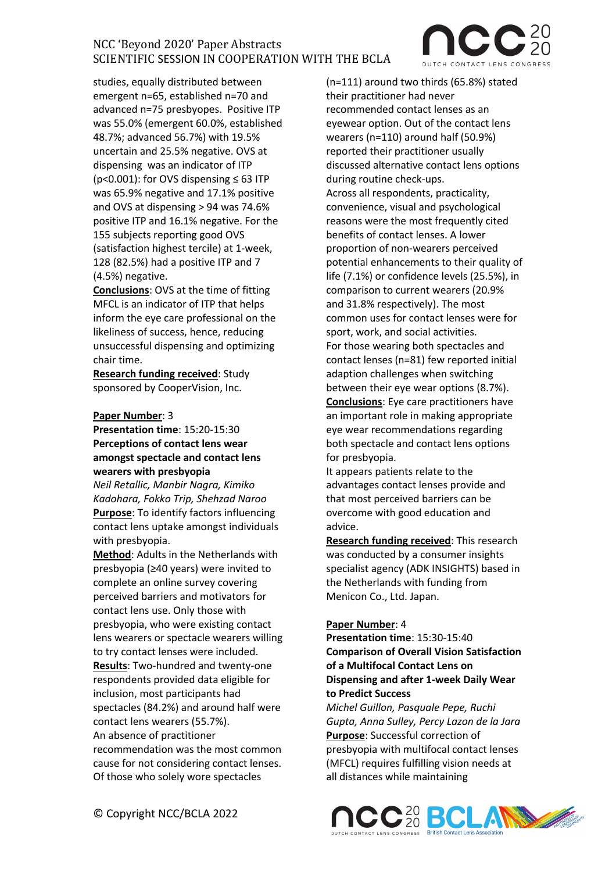studies, equally distributed between emergent n=65, established n=70 and advanced n=75 presbyopes. Positive ITP was 55.0% (emergent 60.0%, established 48.7%; advanced 56.7%) with 19.5% uncertain and 25.5% negative. OVS at dispensing was an indicator of ITP ( $p$ <0.001): for OVS dispensing  $\leq$  63 ITP was 65.9% negative and 17.1% positive and OVS at dispensing > 94 was 74.6% positive ITP and 16.1% negative. For the 155 subjects reporting good OVS (satisfaction highest tercile) at 1-week, 128 (82.5%) had a positive ITP and 7 (4.5%) negative.

**Conclusions**: OVS at the time of fitting MFCL is an indicator of ITP that helps inform the eye care professional on the likeliness of success, hence, reducing unsuccessful dispensing and optimizing chair time.

**Research funding received**: Study sponsored by CooperVision, Inc.

#### **Paper Number**: 3

**Presentation time**: 15:20-15:30 **Perceptions of contact lens wear amongst spectacle and contact lens wearers with presbyopia** 

*Neil Retallic, Manbir Nagra, Kimiko Kadohara, Fokko Trip, Shehzad Naroo* **Purpose**: To identify factors influencing contact lens uptake amongst individuals with presbyopia.

**Method**: Adults in the Netherlands with presbyopia (≥40 years) were invited to complete an online survey covering perceived barriers and motivators for contact lens use. Only those with presbyopia, who were existing contact lens wearers or spectacle wearers willing to try contact lenses were included. **Results**: Two-hundred and twenty-one respondents provided data eligible for inclusion, most participants had spectacles (84.2%) and around half were contact lens wearers (55.7%). An absence of practitioner recommendation was the most common cause for not considering contact lenses. Of those who solely wore spectacles

(n=111) around two thirds (65.8%) stated their practitioner had never recommended contact lenses as an eyewear option. Out of the contact lens wearers (n=110) around half (50.9%) reported their practitioner usually discussed alternative contact lens options during routine check-ups. Across all respondents, practicality, convenience, visual and psychological reasons were the most frequently cited benefits of contact lenses. A lower proportion of non-wearers perceived potential enhancements to their quality of life (7.1%) or confidence levels (25.5%), in comparison to current wearers (20.9% and 31.8% respectively). The most common uses for contact lenses were for sport, work, and social activities. For those wearing both spectacles and contact lenses (n=81) few reported initial adaption challenges when switching between their eye wear options (8.7%). **Conclusions**: Eye care practitioners have an important role in making appropriate eye wear recommendations regarding both spectacle and contact lens options for presbyopia.

It appears patients relate to the advantages contact lenses provide and that most perceived barriers can be overcome with good education and advice.

**Research funding received**: This research was conducted by a consumer insights specialist agency (ADK INSIGHTS) based in the Netherlands with funding from Menicon Co., Ltd. Japan.

#### **Paper Number**: 4

**Presentation time**: 15:30-15:40 **Comparison of Overall Vision Satisfaction of a Multifocal Contact Lens on Dispensing and after 1-week Daily Wear to Predict Success** 

*Michel Guillon, Pasquale Pepe, Ruchi Gupta, Anna Sulley, Percy Lazon de la Jara* **Purpose**: Successful correction of presbyopia with multifocal contact lenses (MFCL) requires fulfilling vision needs at all distances while maintaining

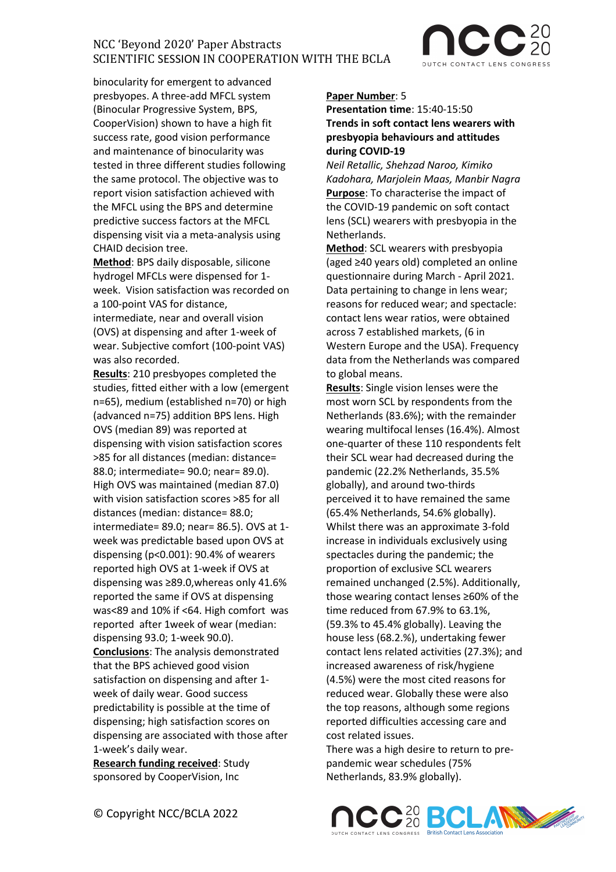

binocularity for emergent to advanced presbyopes. A three-add MFCL system (Binocular Progressive System, BPS, CooperVision) shown to have a high fit success rate, good vision performance and maintenance of binocularity was tested in three different studies following the same protocol. The objective was to report vision satisfaction achieved with the MFCL using the BPS and determine predictive success factors at the MFCL dispensing visit via a meta-analysis using CHAID decision tree.

**Method**: BPS daily disposable, silicone hydrogel MFCLs were dispensed for 1 week. Vision satisfaction was recorded on a 100-point VAS for distance, intermediate, near and overall vision (OVS) at dispensing and after 1-week of wear. Subjective comfort (100-point VAS) was also recorded.

**Results**: 210 presbyopes completed the studies, fitted either with a low (emergent n=65), medium (established n=70) or high (advanced n=75) addition BPS lens. High OVS (median 89) was reported at dispensing with vision satisfaction scores >85 for all distances (median: distance= 88.0; intermediate= 90.0; near= 89.0). High OVS was maintained (median 87.0) with vision satisfaction scores >85 for all distances (median: distance= 88.0; intermediate= 89.0; near= 86.5). OVS at 1 week was predictable based upon OVS at dispensing (p<0.001): 90.4% of wearers reported high OVS at 1-week if OVS at dispensing was ≥89.0,whereas only 41.6% reported the same if OVS at dispensing was<89 and 10% if <64. High comfort was reported after 1week of wear (median: dispensing 93.0; 1-week 90.0). **Conclusions**: The analysis demonstrated that the BPS achieved good vision satisfaction on dispensing and after 1 week of daily wear. Good success predictability is possible at the time of dispensing; high satisfaction scores on dispensing are associated with those after 1-week's daily wear.

**Research funding received**: Study sponsored by CooperVision, Inc

#### **Paper Number**: 5

## **Presentation time**: 15:40-15:50 **Trends in soft contact lens wearers with presbyopia behaviours and attitudes during COVID-19**

*Neil Retallic, Shehzad Naroo, Kimiko Kadohara, Marjolein Maas, Manbir Nagra* **Purpose**: To characterise the impact of the COVID-19 pandemic on soft contact lens (SCL) wearers with presbyopia in the Netherlands.

**Method**: SCL wearers with presbyopia (aged ≥40 years old) completed an online questionnaire during March - April 2021. Data pertaining to change in lens wear; reasons for reduced wear; and spectacle: contact lens wear ratios, were obtained across 7 established markets, (6 in Western Europe and the USA). Frequency data from the Netherlands was compared to global means.

**Results**: Single vision lenses were the most worn SCL by respondents from the Netherlands (83.6%); with the remainder wearing multifocal lenses (16.4%). Almost one-quarter of these 110 respondents felt their SCL wear had decreased during the pandemic (22.2% Netherlands, 35.5% globally), and around two-thirds perceived it to have remained the same (65.4% Netherlands, 54.6% globally). Whilst there was an approximate 3-fold increase in individuals exclusively using spectacles during the pandemic; the proportion of exclusive SCL wearers remained unchanged (2.5%). Additionally, those wearing contact lenses ≥60% of the time reduced from 67.9% to 63.1%, (59.3% to 45.4% globally). Leaving the house less (68.2.%), undertaking fewer contact lens related activities (27.3%); and increased awareness of risk/hygiene (4.5%) were the most cited reasons for reduced wear. Globally these were also the top reasons, although some regions reported difficulties accessing care and cost related issues.

There was a high desire to return to prepandemic wear schedules (75% Netherlands, 83.9% globally).